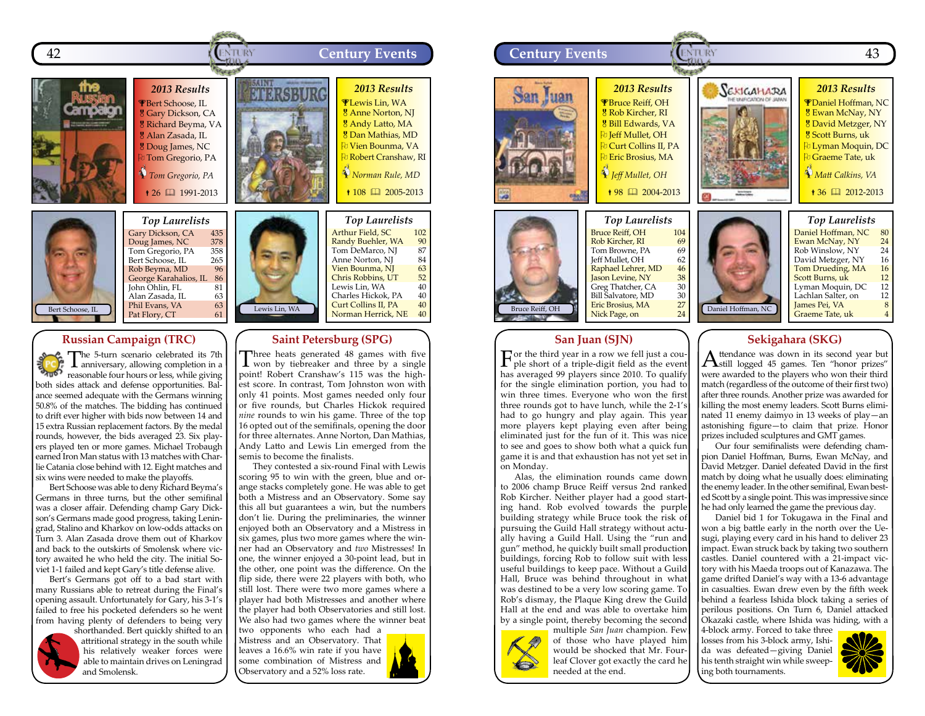



*Top Laurelists* Gary Dickson, CA 435<br>Doug James, NC 378 Doug James, NC 378<br>Tom Gregorio, PA 358 Tom Gregorio, PA 358<br>Bert Schoose, IL 265 Bert Schoose, IL
265<br>
Rob Beyma, MD
36 Rob Beyma, MD 96<br>George Karahalios, IL 86 George Karahalios, IL 86<br>John Ohlin, FL 81 John Ohlin, FL<br>Alan Zasada, IL 63 Alan Zasada, IL 63<br>Phil Evans, VA 63 Phil Evans, VA 63<br>Pat Flory. CT 61

# Lewis Lin, WA

### Arthur Field, SC 102<br>Randy Buehler, WA 90<br>Tom DeMarco, NJ 87 Randy Buehler, WA Tom DeMarco, NJ 87<br>Anne Norton, NJ 84 Anne Norton, NJ 84<br>Vien Bounma, NJ 63 Vien Bounma, NJ 63<br>Chris Robbins. UT 52 Chris Robbins, UT 52<br>Lewis Lin. WA 40 Lewis Lin, WA  $40$ <br>Charles Hickok, PA  $40$ Charles Hickok, PA Curt Collins II, PA  $40$ <br>Norman Herrick, NE  $40$ Norman Herrick, NE

### **Russian Campaign (TRC)**

The 5-turn scenario celebrated its 7th anniversary, allowing completion in a  $\begin{bmatrix} \frac{1}{2} & \frac{1}{2} & \frac{1}{2} & \frac{1}{2} & \frac{1}{2} & \frac{1}{2} & \frac{1}{2} & \frac{1}{2} & \frac{1}{2} & \frac{1}{2} & \frac{1}{2} & \frac{1}{2} & \frac{1}{2} & \frac{1}{2} & \frac{1}{2} & \frac{1}{2} & \frac{1}{2} & \frac{1}{2} & \frac{1}{2} & \frac{1}{2} & \frac{1}{2} & \frac{1}{2} & \frac{1}{2} & \frac{1}{2} & \frac{1}{2} & \frac{1}{2} & \frac{1}{2$ both sides attack and defense opportunities. Balance seemed adequate with the Germans winning 50.8% of the matches. The bidding has continued to drift ever higher with bids now between 14 and 15 extra Russian replacement factors. By the medal rounds, however, the bids averaged 23. Six players played ten or more games. Michael Trobaugh earned Iron Man status with 13 matches with Charlie Catania close behind with 12. Eight matches and six wins were needed to make the playoffs.

Bert Schoose was able to deny Richard Beyma's Germans in three turns, but the other semifinal was a closer affair. Defending champ Gary Dickson's Germans made good progress, taking Leningrad, Stalino and Kharkov on low-odds attacks on Turn 3. Alan Zasada drove them out of Kharkov and back to the outskirts of Smolensk where victory awaited he who held the city. The initial Soviet 1-1 failed and kept Gary's title defense alive.

Bert's Germans got off to a bad start with many Russians able to retreat during the Final's opening assault. Unfortunately for Gary, his 3-1's failed to free his pocketed defenders so he went from having plenty of defenders to being very



shorthanded. Bert quickly shifted to an attritional strategy in the south while his relatively weaker forces were able to maintain drives on Leningrad and Smolensk.

# **Saint Petersburg (SPG)**

Three heats generated 48 games with five won by tiebreaker and three by a single point! Robert Cranshaw's 115 was the highest score. In contrast, Tom Johnston won with only 41 points. Most games needed only four or five rounds, but Charles Hickok required *nine* rounds to win his game. Three of the top 16 opted out of the semifinals, opening the door for three alternates. Anne Norton, Dan Mathias, Andy Latto and Lewis Lin emerged from the semis to become the finalists.

They contested a six-round Final with Lewis scoring 95 to win with the green, blue and orange stacks completely gone. He was able to get both a Mistress and an Observatory. Some say this all but guarantees a win, but the numbers don't lie. During the preliminaries, the winner enjoyed both an Observatory and a Mistress in six games, plus two more games where the winner had an Observatory and *two* Mistresses! In one, the winner enjoyed a 30-point lead, but in the other, one point was the difference. On the flip side, there were 22 players with both, who still lost. There were two more games where a player had both Mistresses and another where the player had both Observatories and still lost. We also had two games where the winner beat two opponents who each had a

Mistress and an Observatory. That leaves a 16.6% win rate if you have some combination of Mistress and Observatory and a 52% loss rate.





### **San Juan (SJN)**

For the third year in a row we fell just a cou-ple short of a triple-digit field as the event has averaged 99 players since 2010. To qualify for the single elimination portion, you had to win three times. Everyone who won the first three rounds got to have lunch, while the 2-1's had to go hungry and play again. This year more players kept playing even after being eliminated just for the fun of it. This was nice to see and goes to show both what a quick fun game it is and that exhaustion has not yet set in on Monday.

Alas, the elimination rounds came down to 2006 champ Bruce Reiff versus 2nd ranked Rob Kircher. Neither player had a good starting hand. Rob evolved towards the purple building strategy while Bruce took the risk of pursuing the Guild Hall strategy without actually having a Guild Hall. Using the "run and gun" method, he quickly built small production buildings, forcing Rob to follow suit with less useful buildings to keep pace. Without a Guild Hall, Bruce was behind throughout in what was destined to be a very low scoring game. To Rob's dismay, the Plaque King drew the Guild Hall at the end and was able to overtake him by a single point, thereby becoming the second



multiple *San Juan* champion. Few of those who have played him would be shocked that Mr. Fourleaf Clover got exactly the card he needed at the end.

# **Sekigahara (SKG)**

 $A$ ttendance was down in its second year but  $A$ still logged 45 games. Ten "honor prizes" were awarded to the players who won their third match (regardless of the outcome of their first two) after three rounds. Another prize was awarded for killing the most enemy leaders. Scott Burns eliminated 11 enemy daimyo in 13 weeks of play—an astonishing figure—to claim that prize. Honor prizes included sculptures and GMT games.

Our four semifinalists were defending champion Daniel Hoffman, Burns, Ewan McNay, and David Metzger. Daniel defeated David in the first match by doing what he usually does: eliminating the enemy leader. In the other semifinal, Ewan bested Scott by a single point. This was impressive since he had only learned the game the previous day.

Daniel bid 1 for Tokugawa in the Final and won a big battle early in the north over the Uesugi, playing every card in his hand to deliver 23 impact. Ewan struck back by taking two southern castles. Daniel countered with a 21-impact victory with his Maeda troops out of Kanazawa. The game drifted Daniel's way with a 13-6 advantage in casualties. Ewan drew even by the fifth week behind a fearless Ishida block taking a series of perilous positions. On Turn 6, Daniel attacked Okazaki castle, where Ishida was hiding, with a

4-block army. Forced to take three losses from his 3-block army, Ishida was defeated—giving Daniel his tenth straight win while sweeping both tournaments.

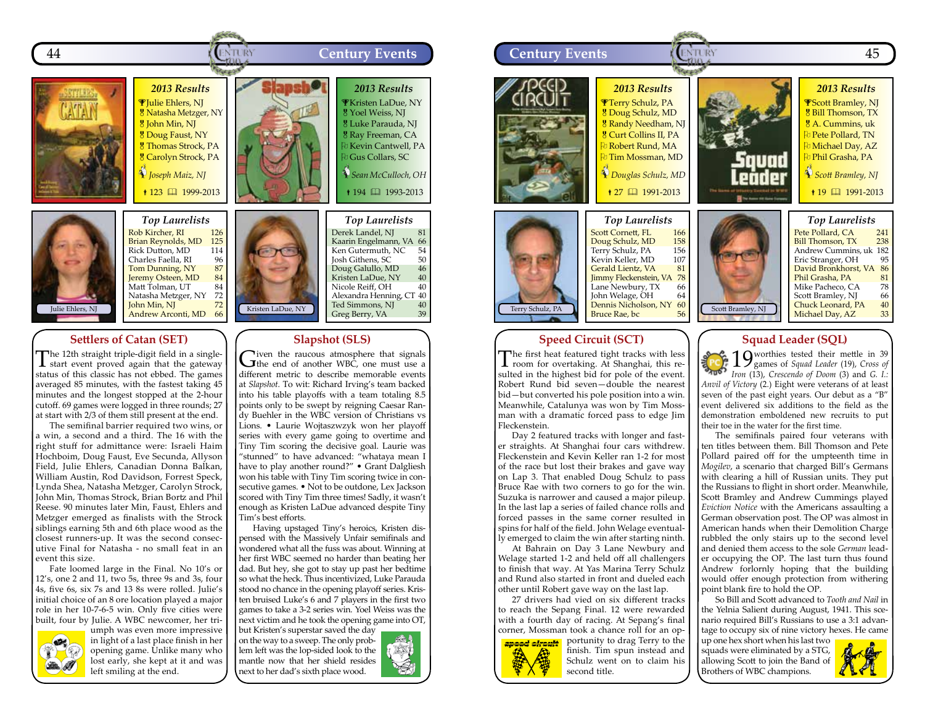



*Top Laurelists* Rob Kircher, RI 126<br>Brian Reynolds, MD 125 Brian Reynolds, MD 125<br>Rick Dutton, MD 114 Rick Dutton, MD 114<br>Charles Faella, RI 96 Charles Faella, RI 96<br>Tom Dunning, NY 87 Tom Dunning, NY 87<br>Jeremy Osteen, MD 84 Jeremy Osteen, MD 84<br>Matt Tolman, UT 84 Matt Tolman, UT 84 Natasha Metzger, NY John Min, NJ Andrew Arconti, MD 66

### **Settlers of Catan (SET)**

The 12th straight triple-digit field in a single-start event proved again that the gateway status of this classic has not ebbed. The games averaged 85 minutes, with the fastest taking 45 minutes and the longest stopped at the 2-hour cutoff. 69 games were logged in three rounds; 27 at start with 2/3 of them still present at the end.

The semifinal barrier required two wins, or a win, a second and a third. The 16 with the right stuff for admittance were: Israeli Haim Hochboim, Doug Faust, Eve Secunda, Allyson Field, Julie Ehlers, Canadian Donna Balkan, William Austin, Rod Davidson, Forrest Speck, Lynda Shea, Natasha Metzger, Carolyn Strock, John Min, Thomas Strock, Brian Bortz and Phil Reese. 90 minutes later Min, Faust, Ehlers and Metzger emerged as finalists with the Strock siblings earning 5th and 6th place wood as the closest runners-up. It was the second consecutive Final for Natasha - no small feat in an event this size.

Fate loomed large in the Final. No 10's or 12's, one 2 and 11, two 5s, three 9s and 3s, four 4s, five 6s, six 7s and 13 8s were rolled. Julie's initial choice of an 8 ore location played a major role in her 10-7-6-5 win. Only five cities were built, four by Julie. A WBC newcomer, her tri-



umph was even more impressive in light of a last place finish in her opening game. Unlike many who lost early, she kept at it and was left smiling at the end.



### *Top Laurelists* Derek Landel, NJ 81 Kaarin Engelmann, VA 66<br>Ken Gutermuth. NC 54 Ken Gutermuth, NC 54<br>Josh Githens, SC 50 Josh Githens, SC 50<br>Doug Galullo, MD 46 Doug Galullo, MD 46<br>Kristen LaDue, NY 40 Kristen LaDue, NY 40<br>Nicole Reiff. OH 40 Nicole Reiff, OH 40 Alexandra Henning, CT 40 Ted Simmons, NJ 40 Greg Berry, VA

### **Slapshot (SLS)**

Given the raucous atmosphere that signals<br>
the end of another WBC, one must use a different metric to describe memorable events at *Slapshot.* To wit: Richard Irving's team backed into his table playoffs with a team totaling 8.5 points only to be swept by reigning Caesar Randy Buehler in the WBC version of Christians vs Lions. • Laurie Wojtaszwzyk won her playoff series with every game going to overtime and Tiny Tim scoring the decisive goal. Laurie was "stunned" to have advanced: "whataya mean I have to play another round?" • Grant Dalgliesh won his table with Tiny Tim scoring twice in consecutive games. • Not to be outdone, Lex Jackson scored with Tiny Tim three times! Sadly, it wasn't enough as Kristen LaDue advanced despite Tiny Tim's best efforts.

Having upstaged Tiny's heroics, Kristen dispensed with the Massively Unfair semifinals and wondered what all the fuss was about. Winning at her first WBC seemed no harder than beating her dad. But hey, she got to stay up past her bedtime so what the heck. Thus incentivized, Luke Parauda stood no chance in the opening playoff series. Kristen bruised Luke's 6 and 7 players in the first two games to take a 3-2 series win. Yoel Weiss was the next victim and he took the opening game into OT,

but Kristen's superstar saved the day on the way to a sweep. The only problem left was the lop-sided look to the mantle now that her shield resides next to her dad's sixth place wood.





### **Speed Circuit (SCT)**

The first heat featured tight tracks with less **L** room for overtaking. At Shanghai, this resulted in the highest bid for pole of the event. Robert Rund bid seven—double the nearest bid—but converted his pole position into a win. Meanwhile, Catalunya was won by Tim Mossman with a dramatic forced pass to edge Jim Fleckenstein.

Day 2 featured tracks with longer and faster straights. At Shanghai four cars withdrew. Fleckenstein and Kevin Keller ran 1-2 for most of the race but lost their brakes and gave way on Lap 3. That enabled Doug Schulz to pass Bruce Rae with two corners to go for the win. Suzuka is narrower and caused a major pileup. In the last lap a series of failed chance rolls and forced passes in the same corner resulted in spins for half of the field. John Welage eventually emerged to claim the win after starting ninth.

At Bahrain on Day 3 Lane Newbury and Welage started 1-2 and held off all challengers to finish that way. At Yas Marina Terry Schulz and Rund also started in front and dueled each other until Robert gave way on the last lap.

27 drivers had vied on six different tracks to reach the Sepang Final. 12 were rewarded with a fourth day of racing. At Sepang's final corner, Mossman took a chance roll for an op-



portunity to drag Terry to the finish. Tim spun instead and Schulz went on to claim his second title.

### **Squad Leader (SQL)**

19 worthies tested their mettle in 39 games of *Squad Leader* (19), *Cross of*  **BAUDY** *Iron* (13), *Crescendo of Doom* (3) and *G. I.: Anvil of Victory* (2.) Eight were veterans of at least seven of the past eight years. Our debut as a "B" event delivered six additions to the field as the demonstration emboldened new recruits to put their toe in the water for the first time.

The semifinals paired four veterans with ten titles between them. Bill Thomson and Pete Pollard paired off for the umpteenth time in *Mogilev*, a scenario that charged Bill's Germans with clearing a hill of Russian units. They put the Russians to flight in short order. Meanwhile, Scott Bramley and Andrew Cummings played *Eviction Notice* with the Americans assaulting a German observation post. The OP was almost in American hands when their Demolition Charge rubbled the only stairs up to the second level and denied them access to the sole *German* leader occupying the OP. The last turn thus found Andrew forlornly hoping that the building would offer enough protection from withering point blank fire to hold the OP.

So Bill and Scott advanced to *Tooth and Nail* in the Yelnia Salient during August, 1941. This scenario required Bill's Russians to use a 3:1 advantage to occupy six of nine victory hexes. He came

up one hex short when his last two squads were eliminated by a STG, allowing Scott to join the Band of Brothers of WBC champions.

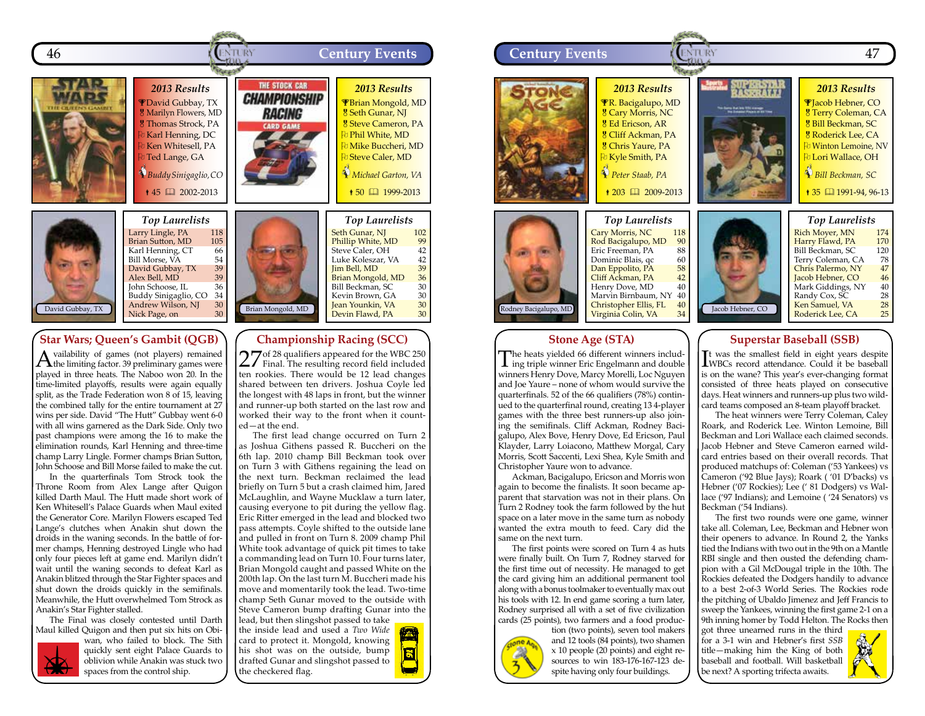



### Larry Lingle, PA 118<br>Brian Sutton, MD 105 **Brian Sutton, MD** 105<br> **Karl Henning, CT** 66<br>
Bill Morse, VA 54 Karl Henning, CT 66 Bill Morse, VA 54<br>David Gubbay, TX 39 David Gubbay, TX 39<br>Alex Bell. MD 39 Alex Bell, MD<br>John Schoose, IL 36 John Schoose, IL<br>Buddy Sinigaglio, CO 34 Buddy Sinigaglio, CO 34<br>Andrew Wilson, NJ 30 Andrew Wilson, NJ 30<br>Nick Page, on 30 Nick Page, on

## **Star Wars; Queen's Gambit (QGB)**

Availability of games (not players) remained the limiting factor. 39 preliminary games were played in three heats. The Naboo won 20. In the time-limited playoffs, results were again equally split, as the Trade Federation won 8 of 15, leaving the combined tally for the entire tournament at 27 wins per side. David "The Hutt" Gubbay went 6-0 with all wins garnered as the Dark Side. Only two past champions were among the 16 to make the elimination rounds, Karl Henning and three-time champ Larry Lingle. Former champs Brian Sutton, John Schoose and Bill Morse failed to make the cut.

In the quarterfinals Tom Strock took the Throne Room from Alex Lange after Quigon killed Darth Maul. The Hutt made short work of Ken Whitesell's Palace Guards when Maul exited the Generator Core. Marilyn Flowers escaped Ted Lange's clutches when Anakin shut down the droids in the waning seconds. In the battle of former champs, Henning destroyed Lingle who had only four pieces left at game end. Marilyn didn't wait until the waning seconds to defeat Karl as Anakin blitzed through the Star Fighter spaces and shut down the droids quickly in the semifinals. Meanwhile, the Hutt overwhelmed Tom Strock as Anakin's Star Fighter stalled.

The Final was closely contested until Darth Maul killed Quigon and then put six hits on Obi-



wan, who failed to block. The Sith quickly sent eight Palace Guards to oblivion while Anakin was stuck two spaces from the control ship.

|                   | <b>Top Laurelists</b>               |           |
|-------------------|-------------------------------------|-----------|
|                   | Seth Gunar, NJ<br>Phillip White, MD | 102<br>99 |
|                   | Steve Caler, OH                     | 42        |
|                   | Luke Koleszar, VA                   | 42        |
|                   | Jim Bell, MD                        | 39        |
|                   | Brian Mongold, MD                   | 36        |
|                   | Bill Beckman, SC                    | 30        |
|                   | Kevin Brown, GA                     | 30        |
| Brian Mongold, MD | Jean Younkin, VA                    | 30        |
|                   | Devin Flawd, PA                     | 30        |

# **Championship Racing (SCC)**

27 of 28 qualifiers appeared for the WBC 250 Final. The resulting record field included ten rookies. There would be 12 lead changes shared between ten drivers. Joshua Coyle led the longest with 48 laps in front, but the winner and runner-up both started on the last row and worked their way to the front when it counted—at the end.

The first lead change occurred on Turn 2 as Joshua Githens passed R. Buccheri on the 6th lap. 2010 champ Bill Beckman took over on Turn 3 with Githens regaining the lead on the next turn. Beckman reclaimed the lead briefly on Turn 5 but a crash claimed him, Jared McLaughlin, and Wayne Mucklaw a turn later, causing everyone to pit during the yellow flag. Eric Ritter emerged in the lead and blocked two pass attempts. Coyle shifted to the outside lane and pulled in front on Turn 8. 2009 champ Phil White took advantage of quick pit times to take a commanding lead on Turn 10. Four turns later, Brian Mongold caught and passed White on the 200th lap. On the last turn M. Buccheri made his move and momentarily took the lead. Two-time champ Seth Gunar moved to the outside with Steve Cameron bump drafting Gunar into the

lead, but then slingshot passed to take the inside lead and used a *Two Wide* card to protect it. Mongold, knowing his shot was on the outside, bump drafted Gunar and slingshot passed to the checkered flag.



### **Stone Age (STA)**

The heats yielded 66 different winners includ-ing triple winner Eric Engelmann and double winners Henry Dove, Marcy Morelli, Loc Nguyen and Joe Yaure – none of whom would survive the quarterfinals. 52 of the 66 qualifiers (78%) continued to the quarterfinal round, creating 13 4-player games with the three best runners-up also joining the semifinals. Cliff Ackman, Rodney Bacigalupo, Alex Bove, Henry Dove, Ed Ericson, Paul Klayder, Larry Loiacono, Matthew Morgal, Cary Morris, Scott Saccenti, Lexi Shea, Kyle Smith and Christopher Yaure won to advance.

Ackman, Bacigalupo, Ericson and Morris won again to become the finalists. It soon became apparent that starvation was not in their plans. On Turn 2 Rodney took the farm followed by the hut space on a later move in the same turn as nobody wanted the extra mouth to feed. Cary did the same on the next turn.

The first points were scored on Turn 4 as huts were finally built. On Turn 7, Rodney starved for the first time out of necessity. He managed to get the card giving him an additional permanent tool along with a bonus toolmaker to eventually max out his tools with 12. In end game scoring a turn later, Rodney surprised all with a set of five civilization cards (25 points), two farmers and a food produc-



tion (two points), seven tool makers and 12 tools (84 points), two shamen x 10 people (20 points) and eight resources to win 183-176-167-123 despite having only four buildings.

## **Superstar Baseball (SSB)**

I WBCs record attendance. Could it be baseball It was the smallest field in eight years despite is on the wane? This year's ever-changing format consisted of three heats played on consecutive days. Heat winners and runners-up plus two wildcard teams composed an 8-team playoff bracket.

The heat winners were Terry Coleman, Caley Roark, and Roderick Lee. Winton Lemoine, Bill Beckman and Lori Wallace each claimed seconds. Jacob Hebner and Steve Cameron earned wildcard entries based on their overall records. That produced matchups of: Coleman ('53 Yankees) vs Cameron ('92 Blue Jays); Roark ( '01 D'backs) vs Hebner ('07 Rockies); Lee (' 81 Dodgers) vs Wallace ('97 Indians); and Lemoine ( '24 Senators) vs Beckman ('54 Indians).

The first two rounds were one game, winner take all. Coleman, Lee, Beckman and Hebner won their openers to advance. In Round 2, the Yanks tied the Indians with two out in the 9th on a Mantle RBI single and then ousted the defending champion with a Gil McDougal triple in the 10th. The Rockies defeated the Dodgers handily to advance to a best 2-of-3 World Series. The Rockies rode the pitching of Ubaldo Jimenez and Jeff Francis to sweep the Yankees, winning the first game 2-1 on a 9th inning homer by Todd Helton. The Rocks then

got three unearned runs in the third for a 3-1 win and Hebner's first *SSB* title—making him the King of both baseball and football. Will basketball be next? A sporting trifecta awaits.

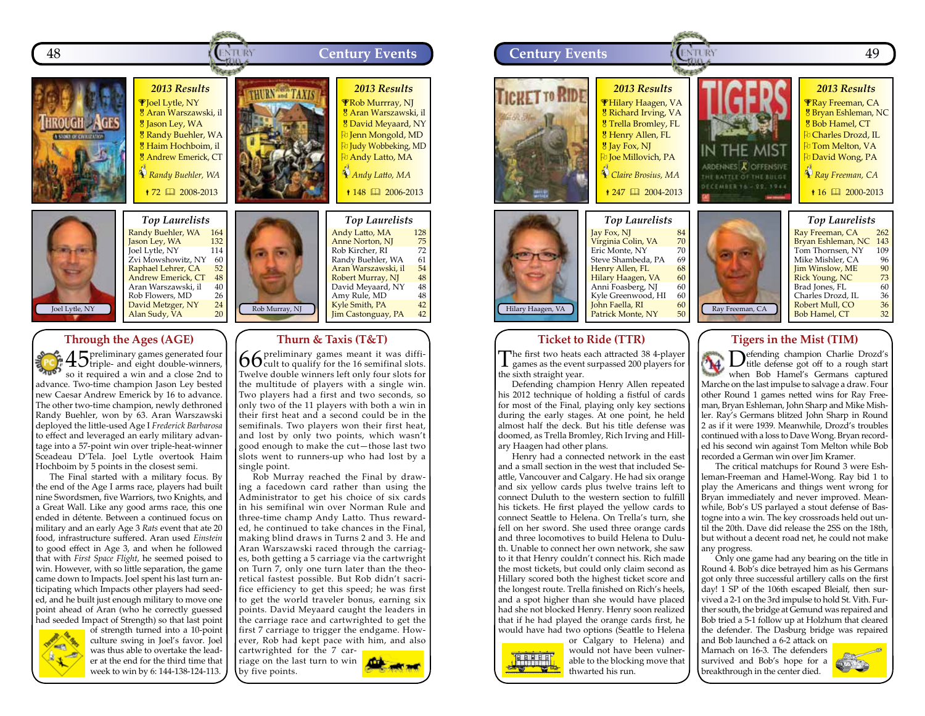



*Top Laurelists* Randy Buehler, WA 164<br>Jason Ley, WA 132 <mark>Jason Ley, WA 132</mark><br>Joel Lytle, NY 114 Joel Lytle, NY 114<br>Zvi Mowshowitz, NY 60 Zvi Mowshowitz, NY 60<br>Raphael Lehrer, CA 52 Raphael Lehrer, CA 52<br>Andrew Emerick. CT 48 Andrew Emerick, CT 48<br>Aran Warszawski, il 40 Aran Warszawski, il 40<br>Rob Flowers, MD 26 Rob Flowers, MD 26<br>David Metzger, NY 24 David Metzger, NY 24 Alan Sudy, VA

### **Through the Ages (AGE)**

45 preliminary games generated four triple- and eight double-winners, so it required a win and a close 2nd to advance. Two-time champion Jason Ley bested new Caesar Andrew Emerick by 16 to advance. The other two-time champion, newly dethroned Randy Buehler, won by 63. Aran Warszawski deployed the little-used Age I *Frederick Barbarosa*  to effect and leveraged an early military advantage into a 57-point win over triple-heat-winner Sceadeau D'Tela. Joel Lytle overtook Haim Hochboim by 5 points in the closest semi.

The Final started with a military focus. By the end of the Age I arms race, players had built nine Swordsmen, five Warriors, two Knights, and a Great Wall. Like any good arms race, this one ended in détente. Between a continued focus on military and an early Age 3 *Rats* event that ate 20 food, infrastructure suffered. Aran used *Einstein* to good effect in Age 3, and when he followed that with *First Space Flight*, he seemed poised to win. However, with so little separation, the game came down to Impacts. Joel spent his last turn anticipating which Impacts other players had seeded, and he built just enough military to move one point ahead of Aran (who he correctly guessed had seeded Impact of Strength) so that last point



of strength turned into a 10-point culture swing in Joel's favor. Joel was thus able to overtake the leader at the end for the third time that week to win by 6: 144-138-124-113.

Rob Murray, NJ Andy Latto, MA 128<br>Anne Norton, NJ 75<br>Rob Kircher, RI 72 Anne Norton, NJ Rob Kircher, RI 72<br>Randy Buehler, WA 61 Randy Buehler, WA 61<br>Aran Warszawski, il 54 Aran Warszawski, il 54<br>Robert Murray, NJ 48 Robert Murray, NJ 48<br>David Mevaard, NY 48 David Meyaard, NY 48<br>Amy Rule, MD 48 Amy Rule, MD 48<br> **Kyle Smith, PA** 42 Kyle Smith, PA 42<br>Iim Castonguay, PA 42 Jim Castonguay, PA

### **Thurn & Taxis (T&T)**

 $66$  preliminary games meant it was diffi-<br> $66$  cult to qualify for the 16 semifinal slots. Twelve double winners left only four slots for the multitude of players with a single win. Two players had a first and two seconds, so only two of the 11 players with both a win in their first heat and a second could be in the semifinals. Two players won their first heat, and lost by only two points, which wasn't good enough to make the cut—those last two slots went to runners-up who had lost by a single point.

Rob Murray reached the Final by drawing a facedown card rather than using the Administrator to get his choice of six cards in his semifinal win over Norman Rule and three-time champ Andy Latto. Thus rewarded, he continued to take chances in the Final, making blind draws in Turns 2 and 3. He and Aran Warszawski raced through the carriages, both getting a 5 carriage via the cartwright on Turn 7, only one turn later than the theoretical fastest possible. But Rob didn't sacrifice efficiency to get this speed; he was first to get the world traveler bonus, earning six points. David Meyaard caught the leaders in the carriage race and cartwrighted to get the first 7 carriage to trigger the endgame. However, Rob had kept pace with him, and also

cartwrighted for the 7 carriage on the last turn to win by five points.





### **Ticket to Ride (TTR)**

The first two heats each attracted 38 4-player **L** games as the event surpassed 200 players for the sixth straight year.

Defending champion Henry Allen repeated his 2012 technique of holding a fistful of cards for most of the Final, playing only key sections during the early stages. At one point, he held almost half the deck. But his title defense was doomed, as Trella Bromley, Rich Irving and Hillary Haagen had other plans.

Henry had a connected network in the east and a small section in the west that included Seattle, Vancouver and Calgary. He had six orange and six yellow cards plus twelve trains left to connect Duluth to the western section to fulfill his tickets. He first played the yellow cards to connect Seattle to Helena. On Trella's turn, she fell on her sword. She used three orange cards and three locomotives to build Helena to Duluth. Unable to connect her own network, she saw to it that Henry couldn't connect his. Rich made the most tickets, but could only claim second as Hillary scored both the highest ticket score and the longest route. Trella finished on Rich's heels, and a spot higher than she would have placed had she not blocked Henry. Henry soon realized that if he had played the orange cards first, he would have had two options (Seattle to Helena



or Calgary to Helena) and would not have been vulnerable to the blocking move that thwarted his run.

### **Tigers in the Mist (TIM)**

Defending champion Charlie Drozd's<br>title defense got off to a rough start when Bob Hamel's Germans captured Marche on the last impulse to salvage a draw. Four other Round 1 games netted wins for Ray Freeman, Bryan Eshleman, John Sharp and Mike Mishler. Ray's Germans blitzed John Sharp in Round 2 as if it were 1939. Meanwhile, Drozd's troubles continued with a loss to Dave Wong. Bryan recorded his second win against Tom Melton while Bob recorded a German win over Jim Kramer.

The critical matchups for Round 3 were Eshleman-Freeman and Hamel-Wong. Ray bid 1 to play the Americans and things went wrong for Bryan immediately and never improved. Meanwhile, Bob's US parlayed a stout defense of Bastogne into a win. The key crossroads held out until the 20th. Dave did release the 2SS on the 18th, but without a decent road net, he could not make any progress.

Only one game had any bearing on the title in Round 4. Bob's dice betrayed him as his Germans got only three successful artillery calls on the first day! 1 SP of the 106th escaped Bleialf, then survived a 2-1 on the 3rd impulse to hold St. Vith. Further south, the bridge at Gemund was repaired and Bob tried a 5-1 follow up at Holzhum that cleared the defender. The Dasburg bridge was repaired

and Bob launched a 6-2 attack on Marnach on 16-3. The defenders survived and Bob's hope for a breakthrough in the center died.